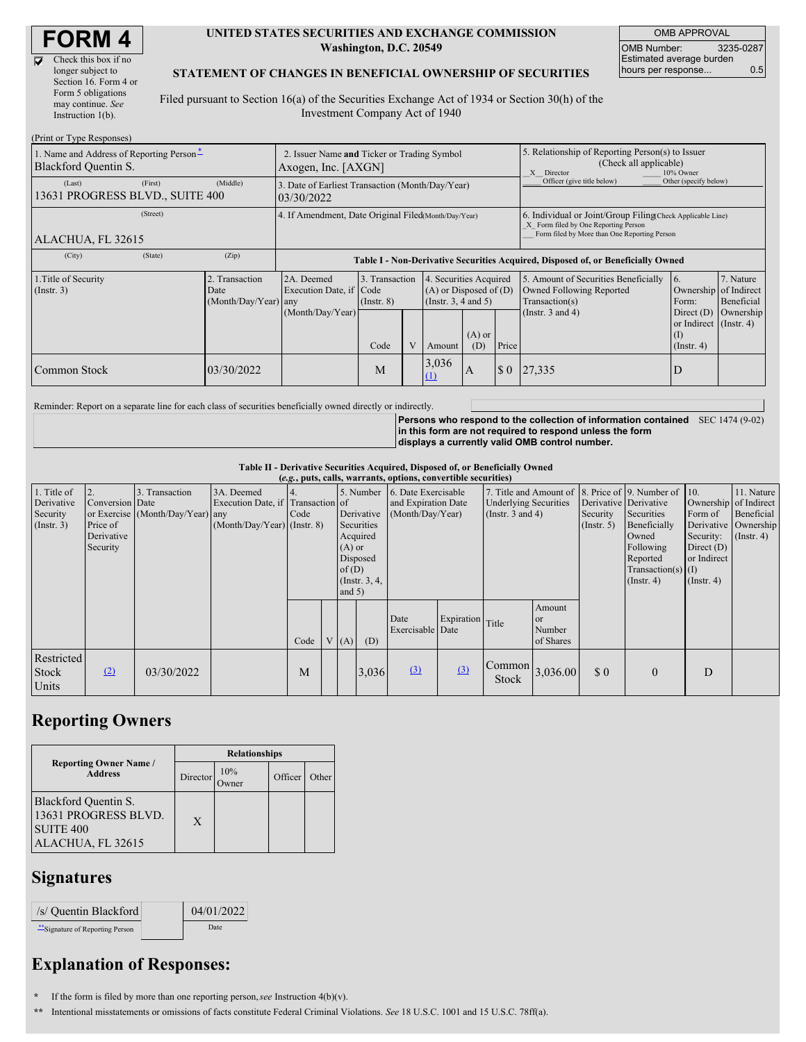$\overline{\mathbf{v}}$ 

| Check this box if no  |
|-----------------------|
| longer subject to     |
| Section 16. Form 4 or |
| Form 5 obligations    |
| may continue. See     |
| Instruction 1(b).     |
|                       |

#### **UNITED STATES SECURITIES AND EXCHANGE COMMISSION Washington, D.C. 20549**

OMB APPROVAL OMB Number: 3235-0287 Estimated average burden hours per response... 0.5

#### **STATEMENT OF CHANGES IN BENEFICIAL OWNERSHIP OF SECURITIES**

Filed pursuant to Section 16(a) of the Securities Exchange Act of 1934 or Section 30(h) of the Investment Company Act of 1940

| (Print or Type Responses)                                                               |                                                                    |                                                                                  |                                   |  |                                                                              |                 |                                                                                                       |                                                                                                                                                    |                                                                   |                         |  |
|-----------------------------------------------------------------------------------------|--------------------------------------------------------------------|----------------------------------------------------------------------------------|-----------------------------------|--|------------------------------------------------------------------------------|-----------------|-------------------------------------------------------------------------------------------------------|----------------------------------------------------------------------------------------------------------------------------------------------------|-------------------------------------------------------------------|-------------------------|--|
| 1. Name and Address of Reporting Person-<br>Blackford Quentin S.                        | 2. Issuer Name and Ticker or Trading Symbol<br>Axogen, Inc. [AXGN] |                                                                                  |                                   |  |                                                                              |                 | 5. Relationship of Reporting Person(s) to Issuer<br>(Check all applicable)<br>X Director<br>10% Owner |                                                                                                                                                    |                                                                   |                         |  |
| (First)<br>(Last)<br>13631 PROGRESS BLVD., SUITE 400                                    | (Middle)                                                           | 3. Date of Earliest Transaction (Month/Day/Year)<br>03/30/2022                   |                                   |  |                                                                              |                 |                                                                                                       | Officer (give title below)                                                                                                                         | Other (specify below)                                             |                         |  |
| (Street)<br>ALACHUA, FL 32615                                                           |                                                                    | 4. If Amendment, Date Original Filed(Month/Day/Year)                             |                                   |  |                                                                              |                 |                                                                                                       | 6. Individual or Joint/Group Filing Check Applicable Line)<br>X Form filed by One Reporting Person<br>Form filed by More than One Reporting Person |                                                                   |                         |  |
| (State)<br>(City)                                                                       | (Zip)                                                              | Table I - Non-Derivative Securities Acquired, Disposed of, or Beneficially Owned |                                   |  |                                                                              |                 |                                                                                                       |                                                                                                                                                    |                                                                   |                         |  |
| 1. Title of Security<br>Transaction<br>$($ Instr. 3 $)$<br>Date<br>(Month/Day/Year) any |                                                                    | 2A. Deemed<br>Execution Date, if Code                                            | 3. Transaction<br>$($ Instr. $8)$ |  | 4. Securities Acquired<br>$(A)$ or Disposed of $(D)$<br>(Insert. 3, 4 and 5) |                 |                                                                                                       | 5. Amount of Securities Beneficially<br>Owned Following Reported<br>Transaction(s)                                                                 | 6.<br>Ownership of Indirect<br>Form:                              | 7. Nature<br>Beneficial |  |
|                                                                                         |                                                                    | (Month/Day/Year)                                                                 | Code                              |  | Amount                                                                       | $(A)$ or<br>(D) | Price                                                                                                 | (Instr. 3 and 4)                                                                                                                                   | Direct $(D)$<br>or Indirect (Instr. 4)<br>(I)<br>$($ Instr. 4 $)$ | Ownership               |  |
| Common Stock                                                                            | 03/30/2022                                                         |                                                                                  | M                                 |  | 3,036<br>$\Omega$                                                            | A               | \$0\$                                                                                                 | 27,335                                                                                                                                             | ΙD                                                                |                         |  |

Reminder: Report on a separate line for each class of securities beneficially owned directly or indirectly.

**Persons who respond to the collection of information contained** SEC 1474 (9-02) **in this form are not required to respond unless the form displays a currently valid OMB control number.**

**Table II - Derivative Securities Acquired, Disposed of, or Beneficially Owned**

|              | (e.g., puts, calls, warrants, options, convertible securities) |                                  |                                   |      |  |          |                    |                               |                  |                                                           |               |                       |                                                     |                       |                      |
|--------------|----------------------------------------------------------------|----------------------------------|-----------------------------------|------|--|----------|--------------------|-------------------------------|------------------|-----------------------------------------------------------|---------------|-----------------------|-----------------------------------------------------|-----------------------|----------------------|
| 1. Title of  | 2.                                                             | 3. Transaction                   | 3A. Deemed                        |      |  |          |                    | 5. Number 6. Date Exercisable |                  |                                                           |               |                       | 7. Title and Amount of 8. Price of 9. Number of 10. |                       | 11. Nature           |
| Derivative   | Conversion Date                                                |                                  | Execution Date, if Transaction of |      |  |          |                    | and Expiration Date           |                  | <b>Underlying Securities</b>                              |               | Derivative Derivative |                                                     | Ownership of Indirect |                      |
| Security     |                                                                | or Exercise (Month/Day/Year) any |                                   | Code |  |          | Derivative         | (Month/Day/Year)              |                  | (Instr. $3$ and $4$ )                                     |               | Security              | Securities                                          | Form of               | Beneficial           |
| (Insert. 3)  | Price of                                                       |                                  | (Month/Day/Year) (Instr. 8)       |      |  |          | Securities         |                               |                  |                                                           |               | (Insert. 5)           | Beneficially                                        |                       | Derivative Ownership |
|              | Derivative                                                     |                                  |                                   |      |  |          | Acquired           |                               |                  |                                                           |               |                       | Owned                                               | Security:             | $($ Instr. 4)        |
|              | Security                                                       |                                  |                                   |      |  | $(A)$ or |                    |                               |                  |                                                           |               |                       | Following                                           | Direct $(D)$          |                      |
|              |                                                                |                                  |                                   |      |  |          | Disposed           |                               |                  |                                                           |               |                       | Reported                                            | or Indirect           |                      |
|              |                                                                |                                  |                                   |      |  | of(D)    |                    |                               |                  |                                                           |               |                       | $Transaction(s)$ (I)                                |                       |                      |
|              |                                                                |                                  |                                   |      |  |          | $($ Instr. $3, 4,$ |                               |                  |                                                           |               |                       | $($ Instr. 4 $)$                                    | $($ Instr. 4 $)$      |                      |
|              |                                                                |                                  |                                   |      |  | and $5)$ |                    |                               |                  |                                                           |               |                       |                                                     |                       |                      |
|              |                                                                |                                  |                                   |      |  |          |                    |                               |                  |                                                           | Amount        |                       |                                                     |                       |                      |
|              |                                                                |                                  |                                   |      |  |          |                    | Date                          | Expiration Title |                                                           | <sub>or</sub> |                       |                                                     |                       |                      |
|              |                                                                |                                  |                                   |      |  |          |                    | Exercisable Date              |                  |                                                           | Number        |                       |                                                     |                       |                      |
|              |                                                                |                                  |                                   | Code |  | V(A)     | (D)                |                               |                  |                                                           | of Shares     |                       |                                                     |                       |                      |
| Restricted   |                                                                |                                  |                                   |      |  |          |                    |                               |                  |                                                           |               |                       |                                                     |                       |                      |
| <b>Stock</b> | (2)                                                            | 03/30/2022                       |                                   | M    |  |          | 3,036              | (3)                           | $\Omega$         | $\begin{array}{c c} \text{Common} & 3,036.00 \end{array}$ |               | \$0                   | $\mathbf{0}$                                        | D                     |                      |
|              |                                                                |                                  |                                   |      |  |          |                    |                               |                  | <b>Stock</b>                                              |               |                       |                                                     |                       |                      |
| Units        |                                                                |                                  |                                   |      |  |          |                    |                               |                  |                                                           |               |                       |                                                     |                       |                      |

## **Reporting Owners**

|                                                                                       | <b>Relationships</b> |             |         |       |  |  |  |  |
|---------------------------------------------------------------------------------------|----------------------|-------------|---------|-------|--|--|--|--|
| <b>Reporting Owner Name /</b><br><b>Address</b>                                       | Director             | 10%<br>wner | Officer | Other |  |  |  |  |
| Blackford Quentin S.<br>13631 PROGRESS BLVD.<br><b>SUITE 400</b><br>ALACHUA, FL 32615 | X                    |             |         |       |  |  |  |  |

## **Signatures**

| /s/ Quentin Blackford         | 04/01/2022 |
|-------------------------------|------------|
| Signature of Reporting Person | Date       |

# **Explanation of Responses:**

**\*** If the form is filed by more than one reporting person,*see* Instruction 4(b)(v).

**\*\*** Intentional misstatements or omissions of facts constitute Federal Criminal Violations. *See* 18 U.S.C. 1001 and 15 U.S.C. 78ff(a).